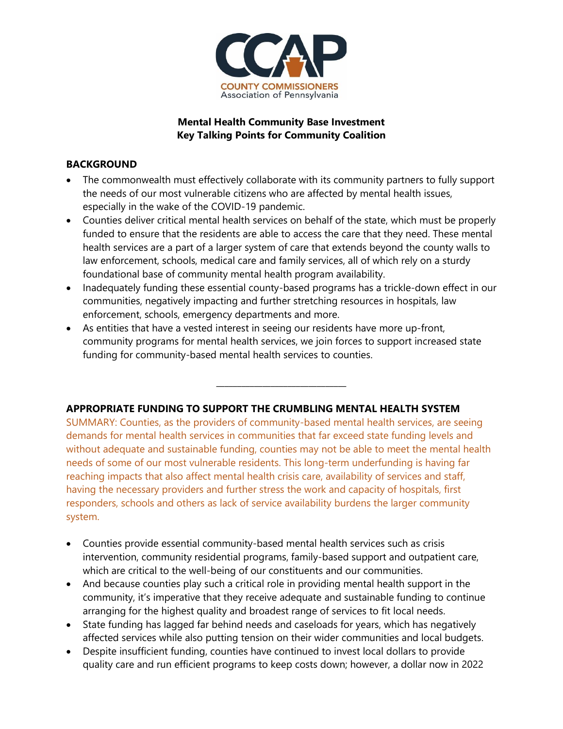

## **Mental Health Community Base Investment Key Talking Points for Community Coalition**

## **BACKGROUND**

- The commonwealth must effectively collaborate with its community partners to fully support the needs of our most vulnerable citizens who are affected by mental health issues, especially in the wake of the COVID-19 pandemic.
- Counties deliver critical mental health services on behalf of the state, which must be properly funded to ensure that the residents are able to access the care that they need. These mental health services are a part of a larger system of care that extends beyond the county walls to law enforcement, schools, medical care and family services, all of which rely on a sturdy foundational base of community mental health program availability.
- Inadequately funding these essential county-based programs has a trickle-down effect in our communities, negatively impacting and further stretching resources in hospitals, law enforcement, schools, emergency departments and more.
- As entities that have a vested interest in seeing our residents have more up-front, community programs for mental health services, we join forces to support increased state funding for community-based mental health services to counties.

**\_\_\_\_\_\_\_\_\_\_\_\_\_\_\_\_\_\_\_\_\_\_\_\_\_\_\_\_\_\_\_**

## **APPROPRIATE FUNDING TO SUPPORT THE CRUMBLING MENTAL HEALTH SYSTEM**

SUMMARY: Counties, as the providers of community-based mental health services, are seeing demands for mental health services in communities that far exceed state funding levels and without adequate and sustainable funding, counties may not be able to meet the mental health needs of some of our most vulnerable residents. This long-term underfunding is having far reaching impacts that also affect mental health crisis care, availability of services and staff, having the necessary providers and further stress the work and capacity of hospitals, first responders, schools and others as lack of service availability burdens the larger community system.

- Counties provide essential community-based mental health services such as crisis intervention, community residential programs, family-based support and outpatient care, which are critical to the well-being of our constituents and our communities.
- And because counties play such a critical role in providing mental health support in the community, it's imperative that they receive adequate and sustainable funding to continue arranging for the highest quality and broadest range of services to fit local needs.
- State funding has lagged far behind needs and caseloads for years, which has negatively affected services while also putting tension on their wider communities and local budgets.
- Despite insufficient funding, counties have continued to invest local dollars to provide quality care and run efficient programs to keep costs down; however, a dollar now in 2022